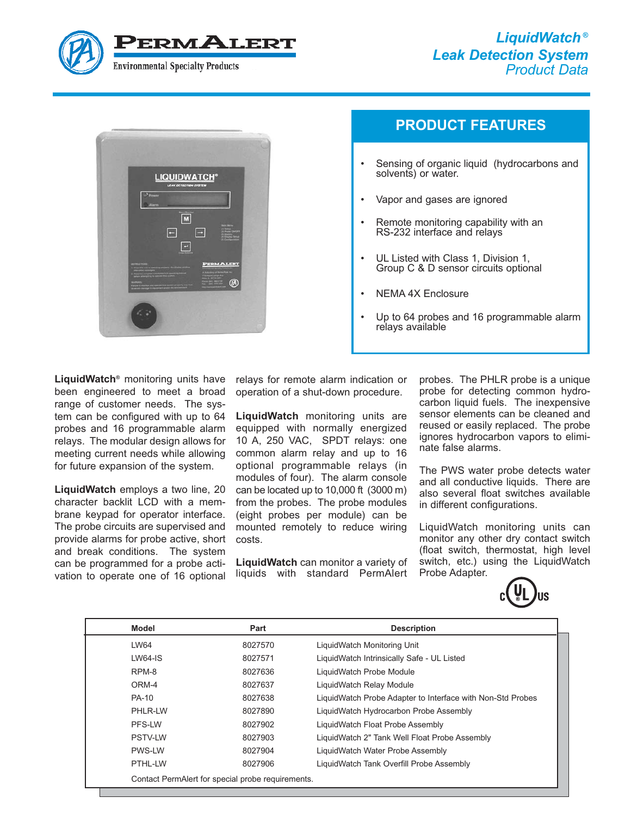



# **PRODUCT FEATURES**

- Sensing of organic liquid (hydrocarbons and solvents) or water.
- Vapor and gases are ignored
- Remote monitoring capability with an RS-232 interface and relays
- UL Listed with Class 1, Division 1, Group C & D sensor circuits optional
- NEMA 4X Enclosure
- Up to 64 probes and 16 programmable alarm relays available

**LiquidWatch®** monitoring units have been engineered to meet a broad range of customer needs. The system can be configured with up to 64 probes and 16 programmable alarm relays. The modular design allows for meeting current needs while allowing for future expansion of the system.

**LiquidWatch** employs a two line, 20 character backlit LCD with a membrane keypad for operator interface. The probe circuits are supervised and provide alarms for probe active, short and break conditions. The system can be programmed for a probe activation to operate one of 16 optional relays for remote alarm indication or operation of a shut-down procedure.

**LiquidWatch** monitoring units are equipped with normally energized 10 A, 250 VAC, SPDT relays: one common alarm relay and up to 16 optional programmable relays (in modules of four). The alarm console can be located up to 10,000 ft (3000 m) from the probes. The probe modules (eight probes per module) can be mounted remotely to reduce wiring costs.

**LiquidWatch** can monitor a variety of liquids with standard PermAlert probes. The PHLR probe is a unique probe for detecting common hydrocarbon liquid fuels. The inexpensive sensor elements can be cleaned and reused or easily replaced. The probe ignores hydrocarbon vapors to eliminate false alarms.

The PWS water probe detects water and all conductive liquids. There are also several float switches available in different configurations.

LiquidWatch monitoring units can monitor any other dry contact switch (float switch, thermostat, high level switch, etc.) using the LiquidWatch Probe Adapter.



| Model          | Part                                              | <b>Description</b>                                         |  |
|----------------|---------------------------------------------------|------------------------------------------------------------|--|
| LW64           | 8027570                                           | LiquidWatch Monitoring Unit                                |  |
| $LWS4-IS$      | 8027571                                           | Liquid Watch Intrinsically Safe - UL Listed                |  |
| RPM-8          | 8027636                                           | LiquidWatch Probe Module                                   |  |
| ORM-4          | 8027637                                           | LiquidWatch Relay Module                                   |  |
| <b>PA-10</b>   | 8027638                                           | LiquidWatch Probe Adapter to Interface with Non-Std Probes |  |
| PHLR-LW        | 8027890                                           | LiquidWatch Hydrocarbon Probe Assembly                     |  |
| PFS-LW         | 8027902                                           | LiquidWatch Float Probe Assembly                           |  |
| <b>PSTV-LW</b> | 8027903                                           | LiquidWatch 2" Tank Well Float Probe Assembly              |  |
| <b>PWS-LW</b>  | 8027904                                           | LiquidWatch Water Probe Assembly                           |  |
| PTHL-LW        | 8027906                                           | Liquid Watch Tank Overfill Probe Assembly                  |  |
|                | Contact PermAlert for special probe requirements. |                                                            |  |